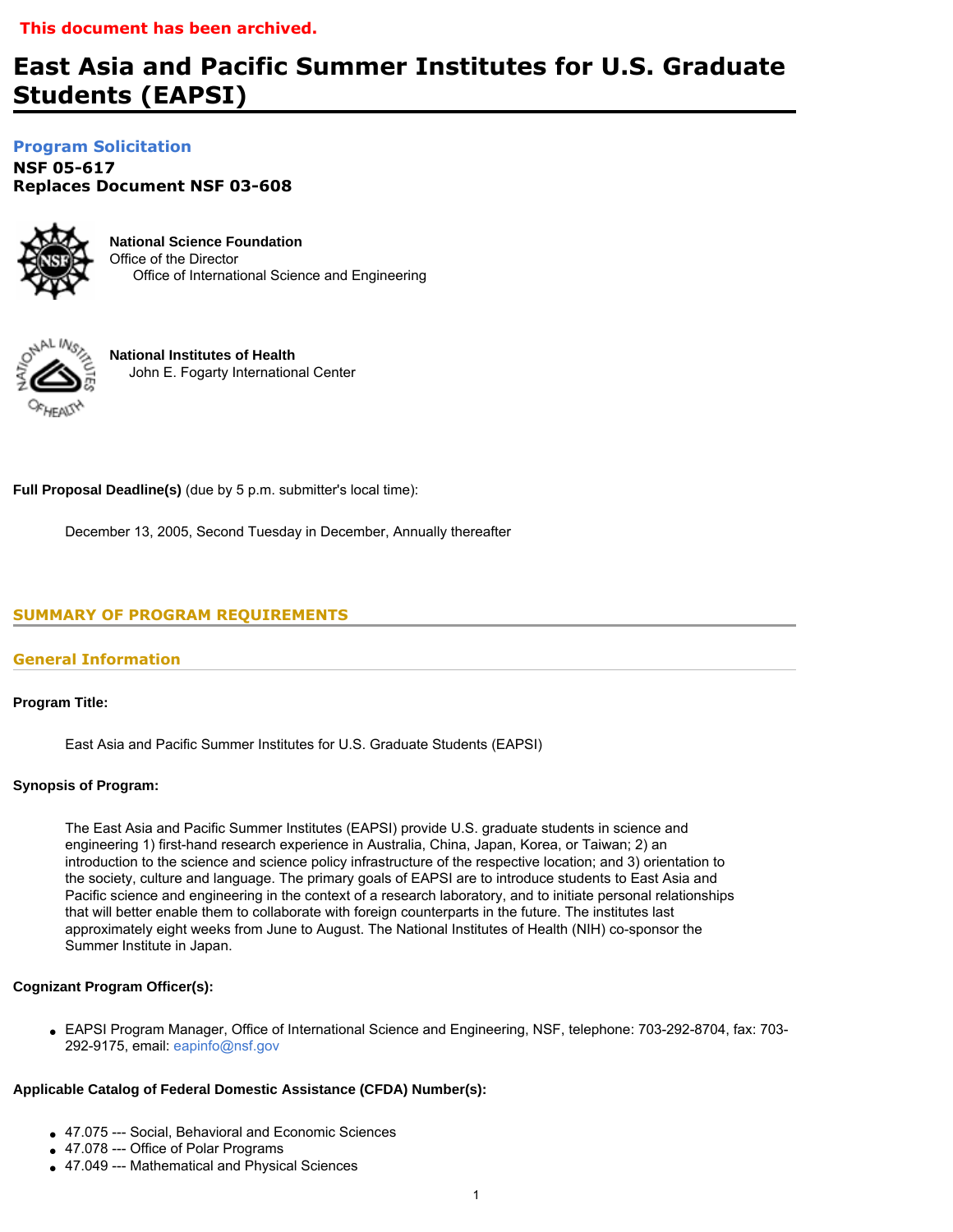# **East Asia and Pacific Summer Institutes for U.S. Graduate Students (EAPSI)**

**[Program Solicitation](#page-2-0)** 

**NSF 05-617**  *Replaces Document* **NSF 03-608** 



**National Science Foundation** Office of the Director Office of International Science and Engineering



**National Institutes of Health** John E. Fogarty International Center

**Full Proposal Deadline(s)** (due by 5 p.m. submitter's local time):

December 13, 2005, Second Tuesday in December, Annually thereafter

# <span id="page-0-0"></span>**SUMMARY OF PROGRAM REQUIREMENTS**

# **General Information**

**Program Title:**

East Asia and Pacific Summer Institutes for U.S. Graduate Students (EAPSI)

# **Synopsis of Program:**

The East Asia and Pacific Summer Institutes (EAPSI) provide U.S. graduate students in science and engineering 1) first-hand research experience in Australia, China, Japan, Korea, or Taiwan; 2) an introduction to the science and science policy infrastructure of the respective location; and 3) orientation to the society, culture and language. The primary goals of EAPSI are to introduce students to East Asia and Pacific science and engineering in the context of a research laboratory, and to initiate personal relationships that will better enable them to collaborate with foreign counterparts in the future. The institutes last approximately eight weeks from June to August. The National Institutes of Health (NIH) co-sponsor the Summer Institute in Japan.

# **Cognizant Program Officer(s):**

● EAPSI Program Manager, Office of International Science and Engineering, NSF, telephone: 703-292-8704, fax: 703- 292-9175, email: [eapinfo@nsf.gov](mailto:eapinfo@nsf.gov)

# **Applicable Catalog of Federal Domestic Assistance (CFDA) Number(s):**

- 47.075 --- Social, Behavioral and Economic Sciences
- 47.078 --- Office of Polar Programs
- 47.049 --- Mathematical and Physical Sciences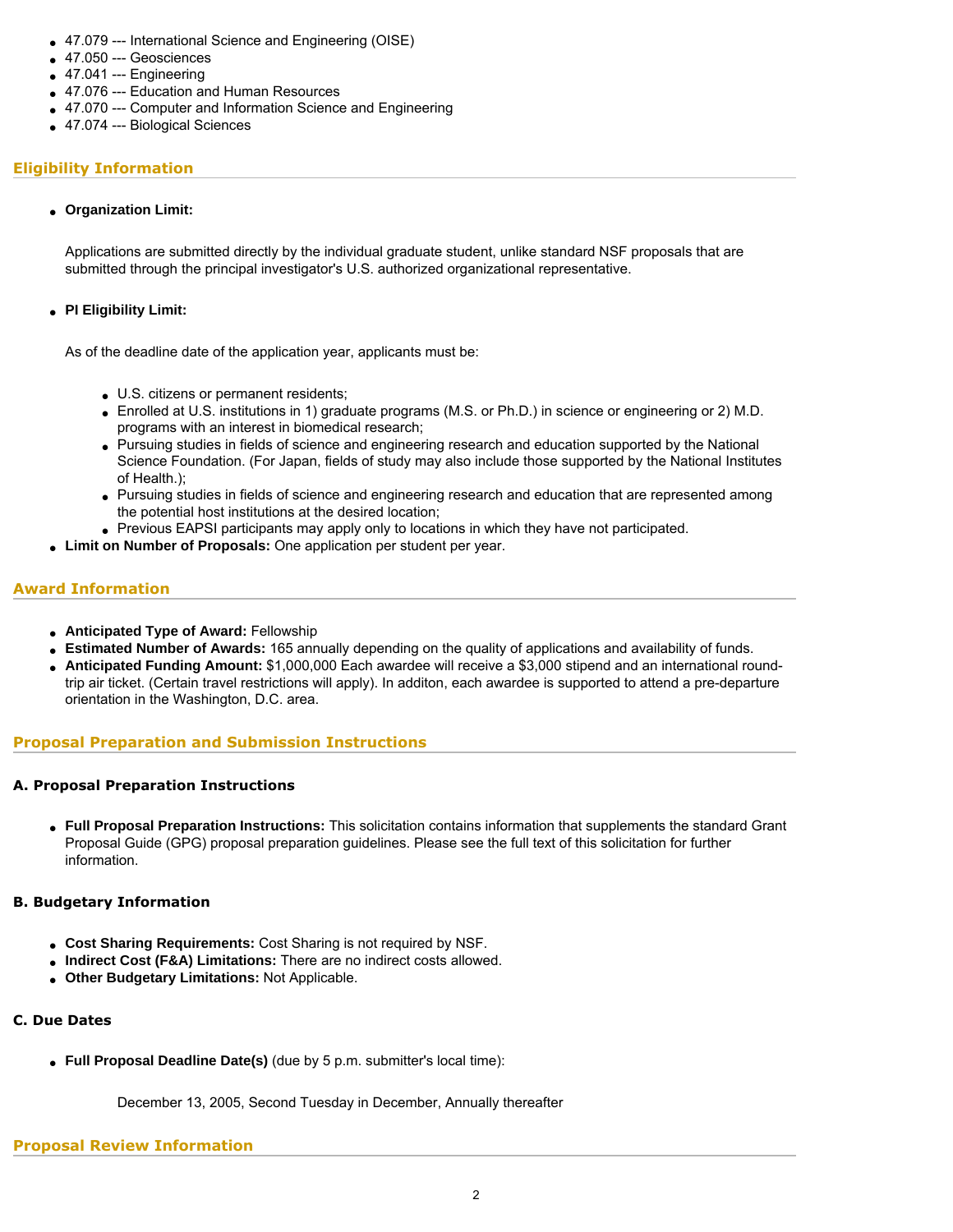- 47.079 --- International Science and Engineering (OISE)
- 47.050 --- Geosciences
- $47.041 -- Engineering$
- 47.076 --- Education and Human Resources
- 47.070 --- Computer and Information Science and Engineering
- 47.074 --- Biological Sciences

# **Eligibility Information**

### ● **Organization Limit:**

Applications are submitted directly by the individual graduate student, unlike standard NSF proposals that are submitted through the principal investigator's U.S. authorized organizational representative.

### ● **PI Eligibility Limit:**

As of the deadline date of the application year, applicants must be:

- U.S. citizens or permanent residents;
- Enrolled at U.S. institutions in 1) graduate programs (M.S. or Ph.D.) in science or engineering or 2) M.D. programs with an interest in biomedical research;
- Pursuing studies in fields of science and engineering research and education supported by the National Science Foundation. (For Japan, fields of study may also include those supported by the National Institutes of Health.);
- Pursuing studies in fields of science and engineering research and education that are represented among the potential host institutions at the desired location;
- Previous EAPSI participants may apply only to locations in which they have not participated.
- **Limit on Number of Proposals:** One application per student per year.

# **Award Information**

- **Anticipated Type of Award:** Fellowship
- **Estimated Number of Awards:** 165 annually depending on the quality of applications and availability of funds.
- **Anticipated Funding Amount:** \$1,000,000 Each awardee will receive a \$3,000 stipend and an international roundtrip air ticket. (Certain travel restrictions will apply). In additon, each awardee is supported to attend a pre-departure orientation in the Washington, D.C. area.

# **Proposal Preparation and Submission Instructions**

# **A. Proposal Preparation Instructions**

● **Full Proposal Preparation Instructions:** This solicitation contains information that supplements the standard Grant Proposal Guide (GPG) proposal preparation guidelines. Please see the full text of this solicitation for further information.

# **B. Budgetary Information**

- Cost Sharing Requirements: Cost Sharing is not required by NSF.
- **Indirect Cost (F&A) Limitations:** There are no indirect costs allowed.
- **Other Budgetary Limitations:** Not Applicable.

# **C. Due Dates**

• Full Proposal Deadline Date(s) (due by 5 p.m. submitter's local time):

December 13, 2005, Second Tuesday in December, Annually thereafter

### **Proposal Review Information**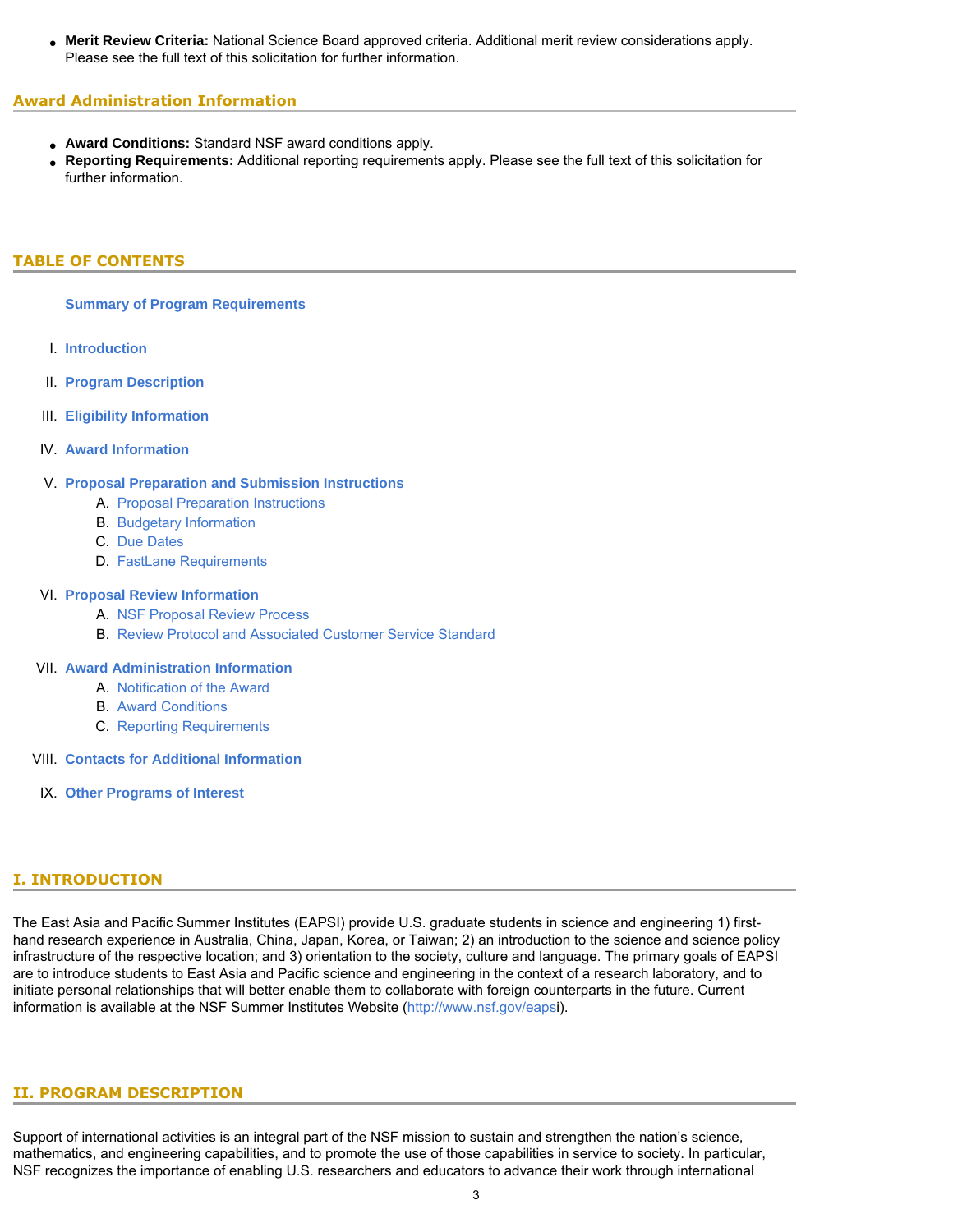● **Merit Review Criteria:** National Science Board approved criteria. Additional merit review considerations apply. Please see the full text of this solicitation for further information.

### **Award Administration Information**

- **Award Conditions:** Standard NSF award conditions apply.
- **Reporting Requirements:** Additional reporting requirements apply. Please see the full text of this solicitation for further information.

### <span id="page-2-0"></span>**TABLE OF CONTENTS**

**[Summary of Program Requirements](#page-0-0)**

- I. **[Introduction](#page-2-1)**
- II. **[Program Description](#page-2-2)**
- III. **[Eligibility Information](#page-4-0)**
- IV. **[Award Information](#page-4-1)**

# V. **[Proposal Preparation and Submission Instructions](#page-4-2)**

- A. [Proposal Preparation Instructions](#page-4-2)
- B. [Budgetary Information](#page-6-0)
- C. [Due Dates](#page-6-1)
- D. [FastLane Requirements](#page-7-0)

#### VI. **[Proposal Review Information](#page-7-1)**

- A. [NSF Proposal Review Process](#page-7-2)
- B. [Review Protocol and Associated Customer Service Standard](#page--1-0)

### VII. **[Award Administration Information](#page-9-0)**

- A. [Notification of the Award](#page-9-1)
- B. [Award Conditions](#page-9-2)
- C. [Reporting Requirements](#page-9-3)
- <span id="page-2-1"></span>VIII. **[Contacts for Additional Information](#page-10-0)**
	- IX. **[Other Programs of Interest](#page-10-1)**

# **I. INTRODUCTION**

The East Asia and Pacific Summer Institutes (EAPSI) provide U.S. graduate students in science and engineering 1) firsthand research experience in Australia, China, Japan, Korea, or Taiwan; 2) an introduction to the science and science policy infrastructure of the respective location; and 3) orientation to the society, culture and language. The primary goals of EAPSI are to introduce students to East Asia and Pacific science and engineering in the context of a research laboratory, and to initiate personal relationships that will better enable them to collaborate with foreign counterparts in the future. Current information is available at the NSF Summer Institutes Website ([http://www.nsf.gov/eapsi\).](#page-13-0)

### <span id="page-2-2"></span>**II. PROGRAM DESCRIPTION**

Support of international activities is an integral part of the NSF mission to sustain and strengthen the nation's science, mathematics, and engineering capabilities, and to promote the use of those capabilities in service to society. In particular, NSF recognizes the importance of enabling U.S. researchers and educators to advance their work through international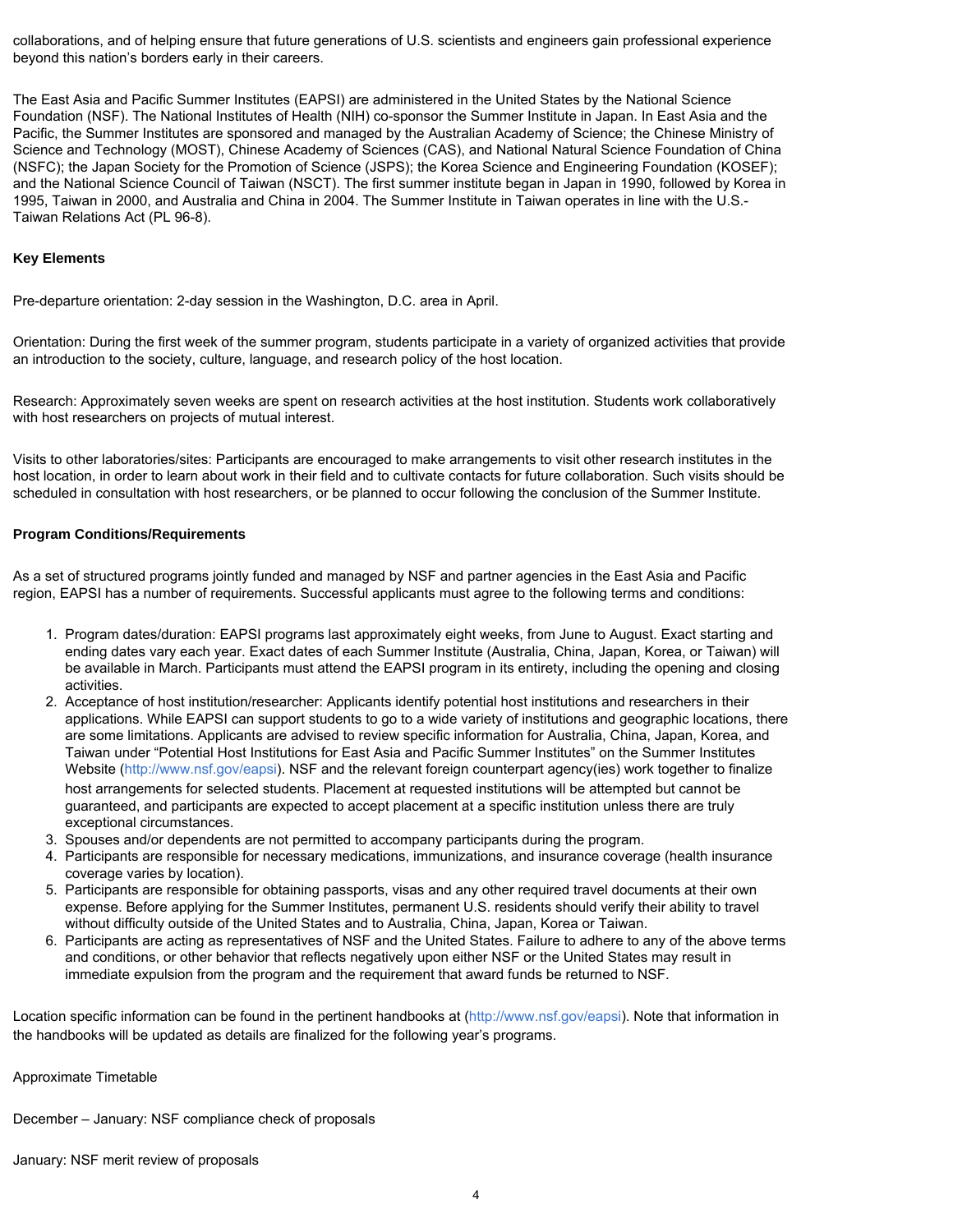collaborations, and of helping ensure that future generations of U.S. scientists and engineers gain professional experience beyond this nation's borders early in their careers.

The East Asia and Pacific Summer Institutes (EAPSI) are administered in the United States by the National Science Foundation (NSF). The National Institutes of Health (NIH) co-sponsor the Summer Institute in Japan. In East Asia and the Pacific, the Summer Institutes are sponsored and managed by the Australian Academy of Science; the Chinese Ministry of Science and Technology (MOST), Chinese Academy of Sciences (CAS), and National Natural Science Foundation of China (NSFC); the Japan Society for the Promotion of Science (JSPS); the Korea Science and Engineering Foundation (KOSEF); and the National Science Council of Taiwan (NSCT). The first summer institute began in Japan in 1990, followed by Korea in 1995, Taiwan in 2000, and Australia and China in 2004. The Summer Institute in Taiwan operates in line with the U.S.- Taiwan Relations Act (PL 96-8).

#### **Key Elements**

Pre-departure orientation: 2-day session in the Washington, D.C. area in April.

Orientation: During the first week of the summer program, students participate in a variety of organized activities that provide an introduction to the society, culture, language, and research policy of the host location.

Research: Approximately seven weeks are spent on research activities at the host institution. Students work collaboratively with host researchers on projects of mutual interest.

Visits to other laboratories/sites: Participants are encouraged to make arrangements to visit other research institutes in the host location, in order to learn about work in their field and to cultivate contacts for future collaboration. Such visits should be scheduled in consultation with host researchers, or be planned to occur following the conclusion of the Summer Institute.

#### **Program Conditions/Requirements**

As a set of structured programs jointly funded and managed by NSF and partner agencies in the East Asia and Pacific region, EAPSI has a number of requirements. Successful applicants must agree to the following terms and conditions:

- 1. Program dates/duration: EAPSI programs last approximately eight weeks, from June to August. Exact starting and ending dates vary each year. Exact dates of each Summer Institute (Australia, China, Japan, Korea, or Taiwan) will be available in March. Participants must attend the EAPSI program in its entirety, including the opening and closing activities.
- 2. Acceptance of host institution/researcher: Applicants identify potential host institutions and researchers in their applications. While EAPSI can support students to go to a wide variety of institutions and geographic locations, there are some limitations. Applicants are advised to review specific information for Australia, China, Japan, Korea, and Taiwan under "Potential Host Institutions for East Asia and Pacific Summer Institutes" on the Summer Institutes Website [\(http://www.nsf.gov/eapsi](http://www.nsftokyo.org/spmenu.html)[\). N](#page-13-0)SF and the relevant foreign counterpart agency(ies) work together to finalize host arrangements for selected students. Placement at requested institutions will be attempted but cannot be guaranteed, and participants are expected to accept placement at a specific institution unless there are truly exceptional circumstances.
- 3. Spouses and/or dependents are not permitted to accompany participants during the program.
- 4. Participants are responsible for necessary medications, immunizations, and insurance coverage (health insurance coverage varies by location).
- 5. Participants are responsible for obtaining passports, visas and any other required travel documents at their own expense. Before applying for the Summer Institutes, permanent U.S. residents should verify their ability to travel without difficulty outside of the United States and to Australia, China, Japan, Korea or Taiwan.
- 6. Participants are acting as representatives of NSF and the United States. Failure to adhere to any of the above terms and conditions, or other behavior that reflects negatively upon either NSF or the United States may result in immediate expulsion from the program and the requirement that award funds be returned to NSF.

Location specific information can be found in the pertinent handbooks at [\(http://www.nsf.gov/eapsi\). No](#page-13-0)te that information in the handbooks will be updated as details are finalized for the following year's programs.

#### Approximate Timetable

December – January: NSF compliance check of proposals

January: NSF merit review of proposals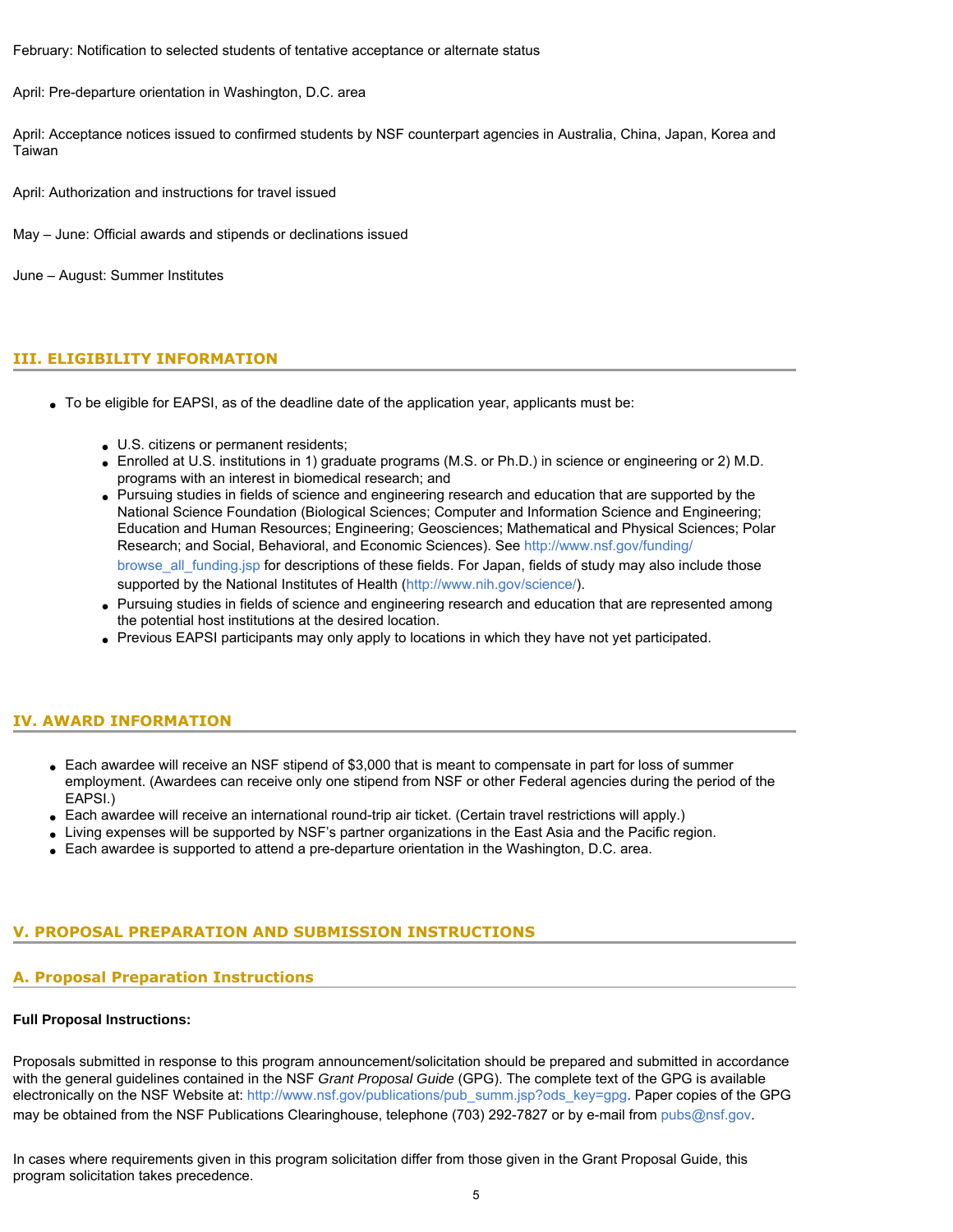February: Notification to selected students of tentative acceptance or alternate status

April: Pre-departure orientation in Washington, D.C. area

April: Acceptance notices issued to confirmed students by NSF counterpart agencies in Australia, China, Japan, Korea and Taiwan

April: Authorization and instructions for travel issued

May – June: Official awards and stipends or declinations issued

<span id="page-4-0"></span>June – August: Summer Institutes

### **III. ELIGIBILITY INFORMATION**

- To be eligible for EAPSI, as of the deadline date of the application year, applicants must be:
	- U.S. citizens or permanent residents;
	- Enrolled at U.S. institutions in 1) graduate programs (M.S. or Ph.D.) in science or engineering or 2) M.D. programs with an interest in biomedical research; and
	- Pursuing studies in fields of science and engineering research and education that are supported by the National Science Foundation (Biological Sciences; Computer and Information Science and Engineering; Education and Human Resources; Engineering; Geosciences; Mathematical and Physical Sciences; Polar Research; and Social, Behavioral, and Economic Sciences). See [http://www.nsf.gov/funding/](http://www.nsf.gov/funding/browse_all_funding.jsp) [browse\\_all\\_funding.jsp](http://www.nsf.gov/funding/browse_all_funding.jsp) for descriptions of these fields. For Japan, fields of study may also include those supported by the National Institutes of Health [\(http://www.nih.gov/science/](http://www.nih.gov/science/)[\).](http://www.nih.gov/science)
	- Pursuing studies in fields of science and engineering research and education that are represented among the potential host institutions at the desired location.
	- Previous EAPSI participants may only apply to locations in which they have not yet participated.

### <span id="page-4-1"></span>**IV. AWARD INFORMATION**

- Each awardee will receive an NSF stipend of \$3,000 that is meant to compensate in part for loss of summer employment. (Awardees can receive only one stipend from NSF or other Federal agencies during the period of the EAPSI.)
- Each awardee will receive an international round-trip air ticket. (Certain travel restrictions will apply.)
- Living expenses will be supported by NSF's partner organizations in the East Asia and the Pacific region.
- Each awardee is supported to attend a pre-departure orientation in the Washington, D.C. area.

# <span id="page-4-2"></span>**V. PROPOSAL PREPARATION AND SUBMISSION INSTRUCTIONS**

### **A. Proposal Preparation Instructions**

#### **Full Proposal Instructions:**

Proposals submitted in response to this program announcement/solicitation should be prepared and submitted in accordance with the general guidelines contained in the NSF *Grant Proposal Guide* (GPG). The complete text of the GPG is available electronically on the NSF Website at: [http://www.nsf.gov/publications/pub\\_summ.jsp?ods\\_key=gpg](http://www.nsf.gov/publications/pub_summ.jsp?ods_key=gpg). Paper copies of the GPG may be obtained from the NSF Publications Clearinghouse, telephone (703) 292-7827 or by e-mail from [pubs@nsf.gov.](mailto:pubs@nsf.gov)

In cases where requirements given in this program solicitation differ from those given in the Grant Proposal Guide, this program solicitation takes precedence.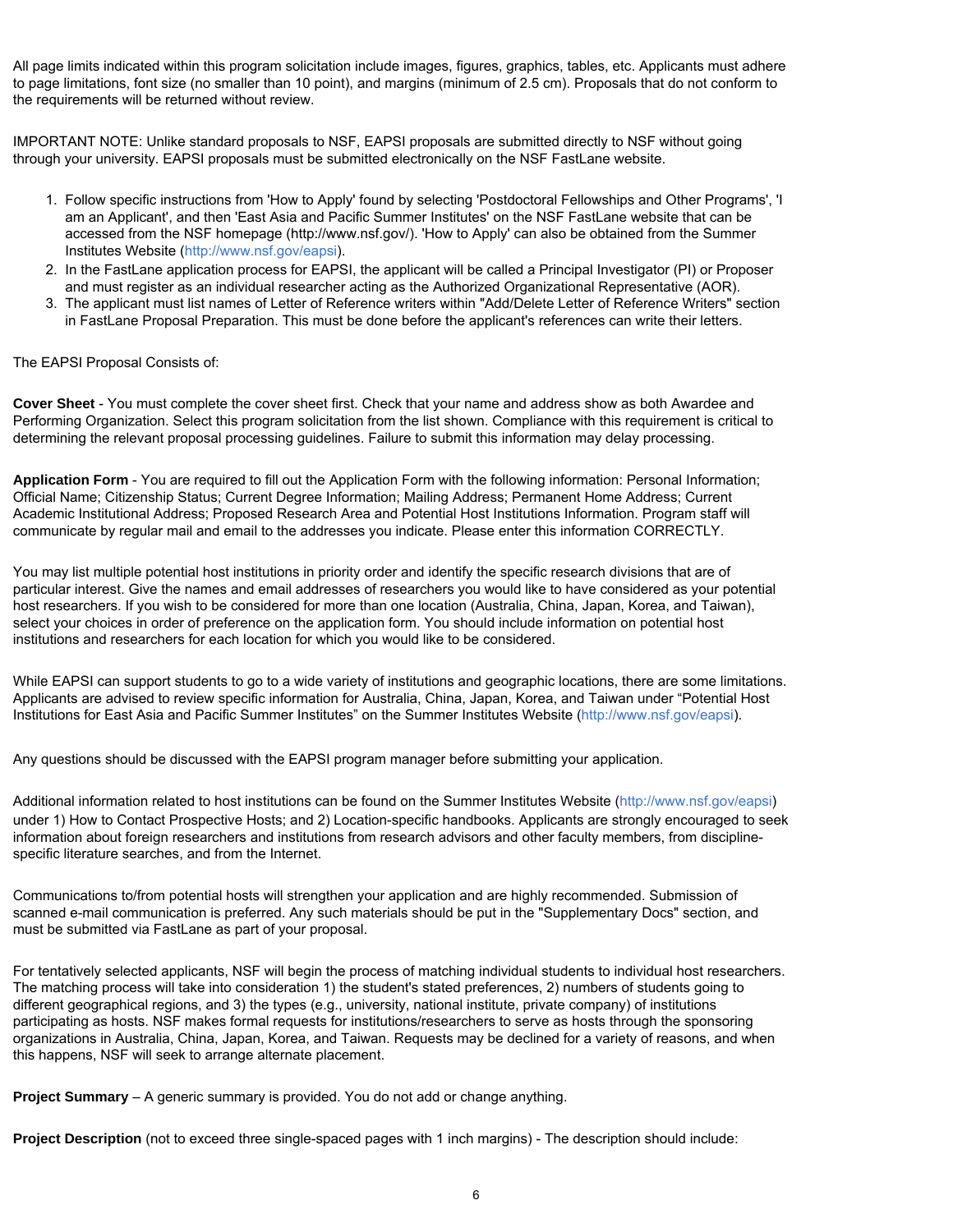All page limits indicated within this program solicitation include images, figures, graphics, tables, etc. Applicants must adhere to page limitations, font size (no smaller than 10 point), and margins (minimum of 2.5 cm). Proposals that do not conform to the requirements will be returned without review.

IMPORTANT NOTE: Unlike standard proposals to NSF, EAPSI proposals are submitted directly to NSF without going through your university. EAPSI proposals must be submitted electronically on the NSF FastLane website.

- 1. Follow specific instructions from 'How to Apply' found by selecting 'Postdoctoral Fellowships and Other Programs', 'I am an Applicant', and then 'East Asia and Pacific Summer Institutes' on the NSF FastLane website that can be accessed from the NSF homepage ([http://www.nsf.g](http://www.nsf.gov)ov/). 'How to Apply' can also be obtained from the Summer Institutes Website ([http://www.nsf.gov/eapsi\).](#page-13-0)
- 2. In the FastLane application process for EAPSI, the applicant will be called a Principal Investigator (PI) or Proposer and must register as an individual researcher acting as the Authorized Organizational Representative (AOR).
- 3. The applicant must list names of Letter of Reference writers within "Add/Delete Letter of Reference Writers" section in FastLane Proposal Preparation. This must be done before the applicant's references can write their letters.

### The EAPSI Proposal Consists of:

**Cover Sheet** - You must complete the cover sheet first. Check that your name and address show as both Awardee and Performing Organization. Select this program solicitation from the list shown. Compliance with this requirement is critical to determining the relevant proposal processing guidelines. Failure to submit this information may delay processing.

**Application Form** - You are required to fill out the Application Form with the following information: Personal Information; Official Name; Citizenship Status; Current Degree Information; Mailing Address; Permanent Home Address; Current Academic Institutional Address; Proposed Research Area and Potential Host Institutions Information. Program staff will communicate by regular mail and email to the addresses you indicate. Please enter this information CORRECTLY.

You may list multiple potential host institutions in priority order and identify the specific research divisions that are of particular interest. Give the names and email addresses of researchers you would like to have considered as your potential host researchers. If you wish to be considered for more than one location (Australia, China, Japan, Korea, and Taiwan), select your choices in order of preference on the application form. You should include information on potential host institutions and researchers for each location for which you would like to be considered.

While EAPSI can support students to go to a wide variety of institutions and geographic locations, there are some limitations. Applicants are advised to review specific information for Australia, China, Japan, Korea, and Taiwan under "Potential Host Institutions for East Asia and Pacific Summer Institutes" on the Summer Institutes Website ([http://www.nsf.gov/eapsi\).](#page-13-0)

Any questions should be discussed with the EAPSI program manager before submitting your application.

Additional information related to host institutions can be found on the Summer Institutes Website [\(http://www.nsf.gov/eapsi](http://www.nsftokyo.org/spmenu.html)) under 1) How to Contact Prospective Hosts; and 2) Location-specific handbooks. Applicants are strongly encouraged to seek information about foreign researchers and institutions from research advisors and other faculty members, from disciplinespecific literature searches, and from the Internet.

Communications to/from potential hosts will strengthen your application and are highly recommended. Submission of scanned e-mail communication is preferred. Any such materials should be put in the "Supplementary Docs" section, and must be submitted via FastLane as part of your proposal.

For tentatively selected applicants, NSF will begin the process of matching individual students to individual host researchers. The matching process will take into consideration 1) the student's stated preferences, 2) numbers of students going to different geographical regions, and 3) the types (e.g., university, national institute, private company) of institutions participating as hosts. NSF makes formal requests for institutions/researchers to serve as hosts through the sponsoring organizations in Australia, China, Japan, Korea, and Taiwan. Requests may be declined for a variety of reasons, and when this happens, NSF will seek to arrange alternate placement.

**Project Summary** – A generic summary is provided. You do not add or change anything.

**Project Description** (not to exceed three single-spaced pages with 1 inch margins) - The description should include: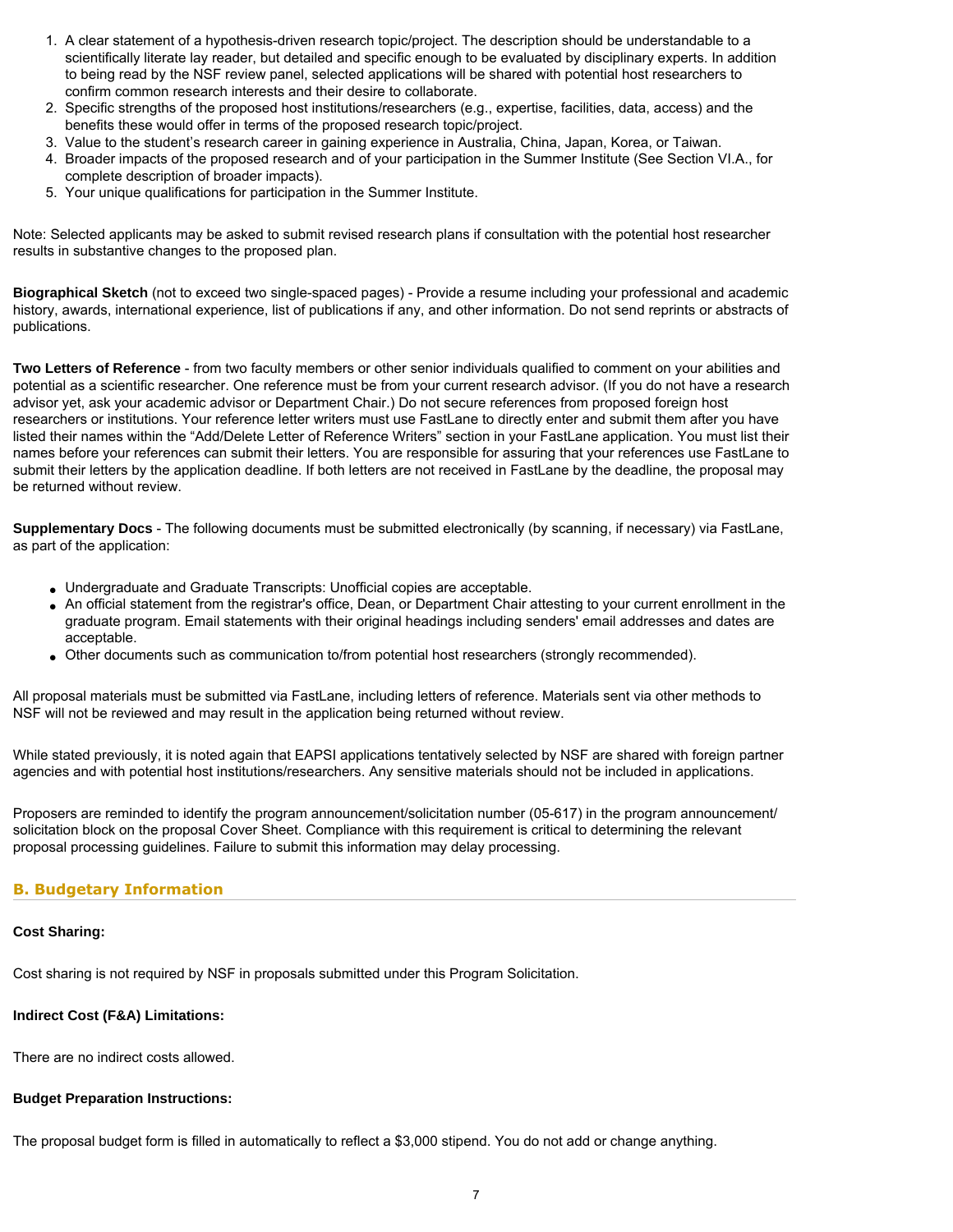- 1. A clear statement of a hypothesis-driven research topic/project. The description should be understandable to a scientifically literate lay reader, but detailed and specific enough to be evaluated by disciplinary experts. In addition to being read by the NSF review panel, selected applications will be shared with potential host researchers to confirm common research interests and their desire to collaborate.
- 2. Specific strengths of the proposed host institutions/researchers (e.g., expertise, facilities, data, access) and the benefits these would offer in terms of the proposed research topic/project.
- 3. Value to the student's research career in gaining experience in Australia, China, Japan, Korea, or Taiwan.
- 4. Broader impacts of the proposed research and of your participation in the Summer Institute (See Section VI.A., for complete description of broader impacts).
- 5. Your unique qualifications for participation in the Summer Institute.

Note: Selected applicants may be asked to submit revised research plans if consultation with the potential host researcher results in substantive changes to the proposed plan.

**Biographical Sketch** (not to exceed two single-spaced pages) - Provide a resume including your professional and academic history, awards, international experience, list of publications if any, and other information. Do not send reprints or abstracts of publications.

**Two Letters of Reference** - from two faculty members or other senior individuals qualified to comment on your abilities and potential as a scientific researcher. One reference must be from your current research advisor. (If you do not have a research advisor yet, ask your academic advisor or Department Chair.) Do not secure references from proposed foreign host researchers or institutions. Your reference letter writers must use FastLane to directly enter and submit them after you have listed their names within the "Add/Delete Letter of Reference Writers" section in your FastLane application. You must list their names before your references can submit their letters. You are responsible for assuring that your references use FastLane to submit their letters by the application deadline. If both letters are not received in FastLane by the deadline, the proposal may be returned without review.

**Supplementary Docs** - The following documents must be submitted electronically (by scanning, if necessary) via FastLane, as part of the application:

- Undergraduate and Graduate Transcripts: Unofficial copies are acceptable.
- An official statement from the registrar's office, Dean, or Department Chair attesting to your current enrollment in the graduate program. Email statements with their original headings including senders' email addresses and dates are acceptable.
- Other documents such as communication to/from potential host researchers (strongly recommended).

All proposal materials must be submitted via FastLane, including letters of reference. Materials sent via other methods to NSF will not be reviewed and may result in the application being returned without review.

While stated previously, it is noted again that EAPSI applications tentatively selected by NSF are shared with foreign partner agencies and with potential host institutions/researchers. Any sensitive materials should not be included in applications.

Proposers are reminded to identify the program announcement/solicitation number (05-617) in the program announcement/ solicitation block on the proposal Cover Sheet. Compliance with this requirement is critical to determining the relevant proposal processing guidelines. Failure to submit this information may delay processing.

### <span id="page-6-0"></span>**B. Budgetary Information**

#### **Cost Sharing:**

Cost sharing is not required by NSF in proposals submitted under this Program Solicitation.

### **Indirect Cost (F&A) Limitations:**

There are no indirect costs allowed.

#### **Budget Preparation Instructions:**

<span id="page-6-1"></span>The proposal budget form is filled in automatically to reflect a \$3,000 stipend. You do not add or change anything.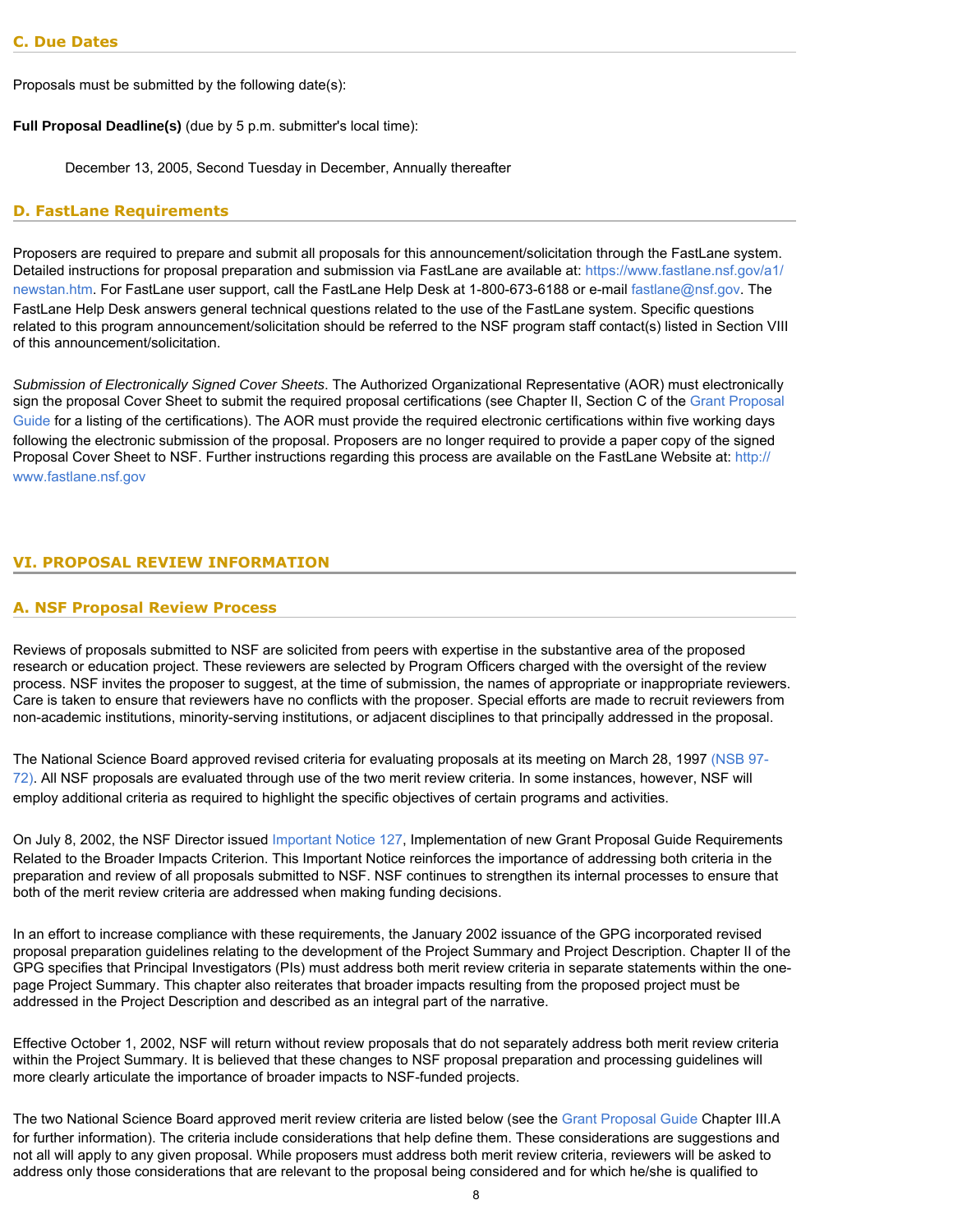Proposals must be submitted by the following date(s):

**Full Proposal Deadline(s)** (due by 5 p.m. submitter's local time):

December 13, 2005, Second Tuesday in December, Annually thereafter

### <span id="page-7-0"></span>**D. FastLane Requirements**

Proposers are required to prepare and submit all proposals for this announcement/solicitation through the FastLane system. Detailed instructions for proposal preparation and submission via FastLane are available at: [https://www.fastlane.nsf.gov/a1/](https://www.fastlane.nsf.gov/a1/newstan.htm) [newstan.htm.](https://www.fastlane.nsf.gov/a1/newstan.htm) For FastLane user support, call the FastLane Help Desk at 1-800-673-6188 or e-mail [fastlane@nsf.gov.](mailto:fastlane@nsf.gov) The FastLane Help Desk answers general technical questions related to the use of the FastLane system. Specific questions related to this program announcement/solicitation should be referred to the NSF program staff contact(s) listed in Section VIII of this announcement/solicitation.

*Submission of Electronically Signed Cover Sheets*. The Authorized Organizational Representative (AOR) must electronically sign the proposal Cover Sheet to submit the required proposal certifications (see Chapter II, Section C of the [Grant Proposal](http://www.nsf.gov/publications/pub_summ.jsp?ods_key=gpg) [Guide](http://www.nsf.gov/publications/pub_summ.jsp?ods_key=gpg) for a listing of the certifications). The AOR must provide the required electronic certifications within five working days following the electronic submission of the proposal. Proposers are no longer required to provide a paper copy of the signed Proposal Cover Sheet to NSF. Further instructions regarding this process are available on the FastLane Website at: [http://](http://www.fastlane.nsf.gov/) [www.fastlane.nsf.gov](http://www.fastlane.nsf.gov/)

### <span id="page-7-2"></span><span id="page-7-1"></span>**VI. PROPOSAL REVIEW INFORMATION**

### **A. NSF Proposal Review Process**

Reviews of proposals submitted to NSF are solicited from peers with expertise in the substantive area of the proposed research or education project. These reviewers are selected by Program Officers charged with the oversight of the review process. NSF invites the proposer to suggest, at the time of submission, the names of appropriate or inappropriate reviewers. Care is taken to ensure that reviewers have no conflicts with the proposer. Special efforts are made to recruit reviewers from non-academic institutions, minority-serving institutions, or adjacent disciplines to that principally addressed in the proposal.

The National Science Board approved revised criteria for evaluating proposals at its meeting on March 28, 1997 [\(NSB 97-](http://www.nsf.gov/publications/pub_summ.jsp?ods_key=nsb9772) [72\)](http://www.nsf.gov/publications/pub_summ.jsp?ods_key=nsb9772). All NSF proposals are evaluated through use of the two merit review criteria. In some instances, however, NSF will employ additional criteria as required to highlight the specific objectives of certain programs and activities.

On July 8, 2002, the NSF Director issued [Important Notice 127,](http://www.nsf.gov/publications/pub_summ.jsp?ods_key=iin127) Implementation of new Grant Proposal Guide Requirements Related to the Broader Impacts Criterion. This Important Notice reinforces the importance of addressing both criteria in the preparation and review of all proposals submitted to NSF. NSF continues to strengthen its internal processes to ensure that both of the merit review criteria are addressed when making funding decisions.

In an effort to increase compliance with these requirements, the January 2002 issuance of the GPG incorporated revised proposal preparation guidelines relating to the development of the Project Summary and Project Description. Chapter II of the GPG specifies that Principal Investigators (PIs) must address both merit review criteria in separate statements within the onepage Project Summary. This chapter also reiterates that broader impacts resulting from the proposed project must be addressed in the Project Description and described as an integral part of the narrative.

Effective October 1, 2002, NSF will return without review proposals that do not separately address both merit review criteria within the Project Summary. It is believed that these changes to NSF proposal preparation and processing guidelines will more clearly articulate the importance of broader impacts to NSF-funded projects.

The two National Science Board approved merit review criteria are listed below (see the [Grant Proposal Guide](http://www.nsf.gov/publications/pub_summ.jsp?ods_key=gpg) Chapter III.A for further information). The criteria include considerations that help define them. These considerations are suggestions and not all will apply to any given proposal. While proposers must address both merit review criteria, reviewers will be asked to address only those considerations that are relevant to the proposal being considered and for which he/she is qualified to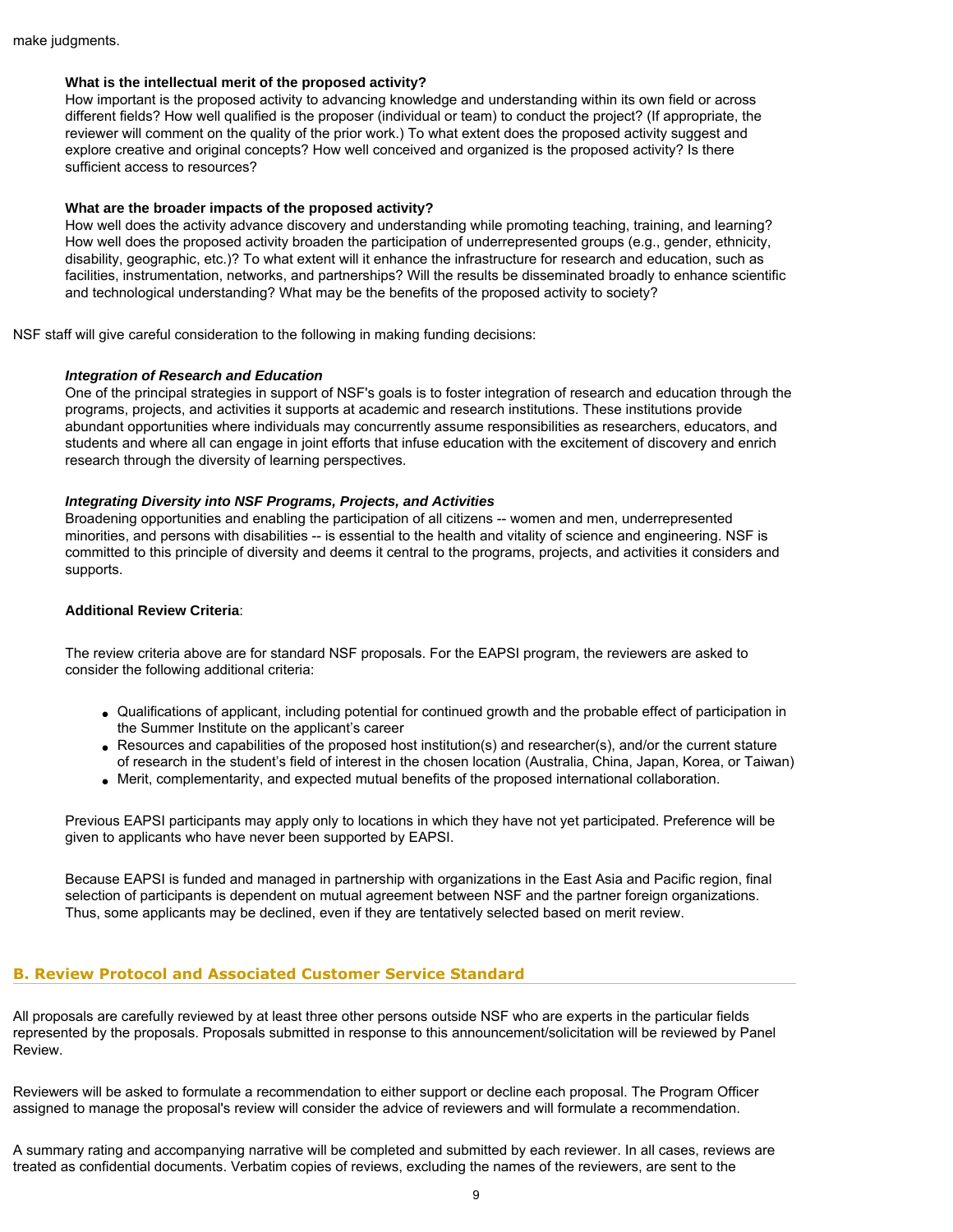#### **What is the intellectual merit of the proposed activity?**

How important is the proposed activity to advancing knowledge and understanding within its own field or across different fields? How well qualified is the proposer (individual or team) to conduct the project? (If appropriate, the reviewer will comment on the quality of the prior work.) To what extent does the proposed activity suggest and explore creative and original concepts? How well conceived and organized is the proposed activity? Is there sufficient access to resources?

#### **What are the broader impacts of the proposed activity?**

How well does the activity advance discovery and understanding while promoting teaching, training, and learning? How well does the proposed activity broaden the participation of underrepresented groups (e.g., gender, ethnicity, disability, geographic, etc.)? To what extent will it enhance the infrastructure for research and education, such as facilities, instrumentation, networks, and partnerships? Will the results be disseminated broadly to enhance scientific and technological understanding? What may be the benefits of the proposed activity to society?

NSF staff will give careful consideration to the following in making funding decisions:

#### *Integration of Research and Education*

One of the principal strategies in support of NSF's goals is to foster integration of research and education through the programs, projects, and activities it supports at academic and research institutions. These institutions provide abundant opportunities where individuals may concurrently assume responsibilities as researchers, educators, and students and where all can engage in joint efforts that infuse education with the excitement of discovery and enrich research through the diversity of learning perspectives.

### *Integrating Diversity into NSF Programs, Projects, and Activities*

Broadening opportunities and enabling the participation of all citizens -- women and men, underrepresented minorities, and persons with disabilities -- is essential to the health and vitality of science and engineering. NSF is committed to this principle of diversity and deems it central to the programs, projects, and activities it considers and supports.

#### **Additional Review Criteria**:

The review criteria above are for standard NSF proposals. For the EAPSI program, the reviewers are asked to consider the following additional criteria:

- Qualifications of applicant, including potential for continued growth and the probable effect of participation in the Summer Institute on the applicant's career
- Resources and capabilities of the proposed host institution(s) and researcher(s), and/or the current stature of research in the student's field of interest in the chosen location (Australia, China, Japan, Korea, or Taiwan)
- Merit, complementarity, and expected mutual benefits of the proposed international collaboration.

Previous EAPSI participants may apply only to locations in which they have not yet participated. Preference will be given to applicants who have never been supported by EAPSI.

Because EAPSI is funded and managed in partnership with organizations in the East Asia and Pacific region, final selection of participants is dependent on mutual agreement between NSF and the partner foreign organizations. Thus, some applicants may be declined, even if they are tentatively selected based on merit review.

### **B. Review Protocol and Associated Customer Service Standard**

All proposals are carefully reviewed by at least three other persons outside NSF who are experts in the particular fields represented by the proposals. Proposals submitted in response to this announcement/solicitation will be reviewed by Panel Review.

Reviewers will be asked to formulate a recommendation to either support or decline each proposal. The Program Officer assigned to manage the proposal's review will consider the advice of reviewers and will formulate a recommendation.

A summary rating and accompanying narrative will be completed and submitted by each reviewer. In all cases, reviews are treated as confidential documents. Verbatim copies of reviews, excluding the names of the reviewers, are sent to the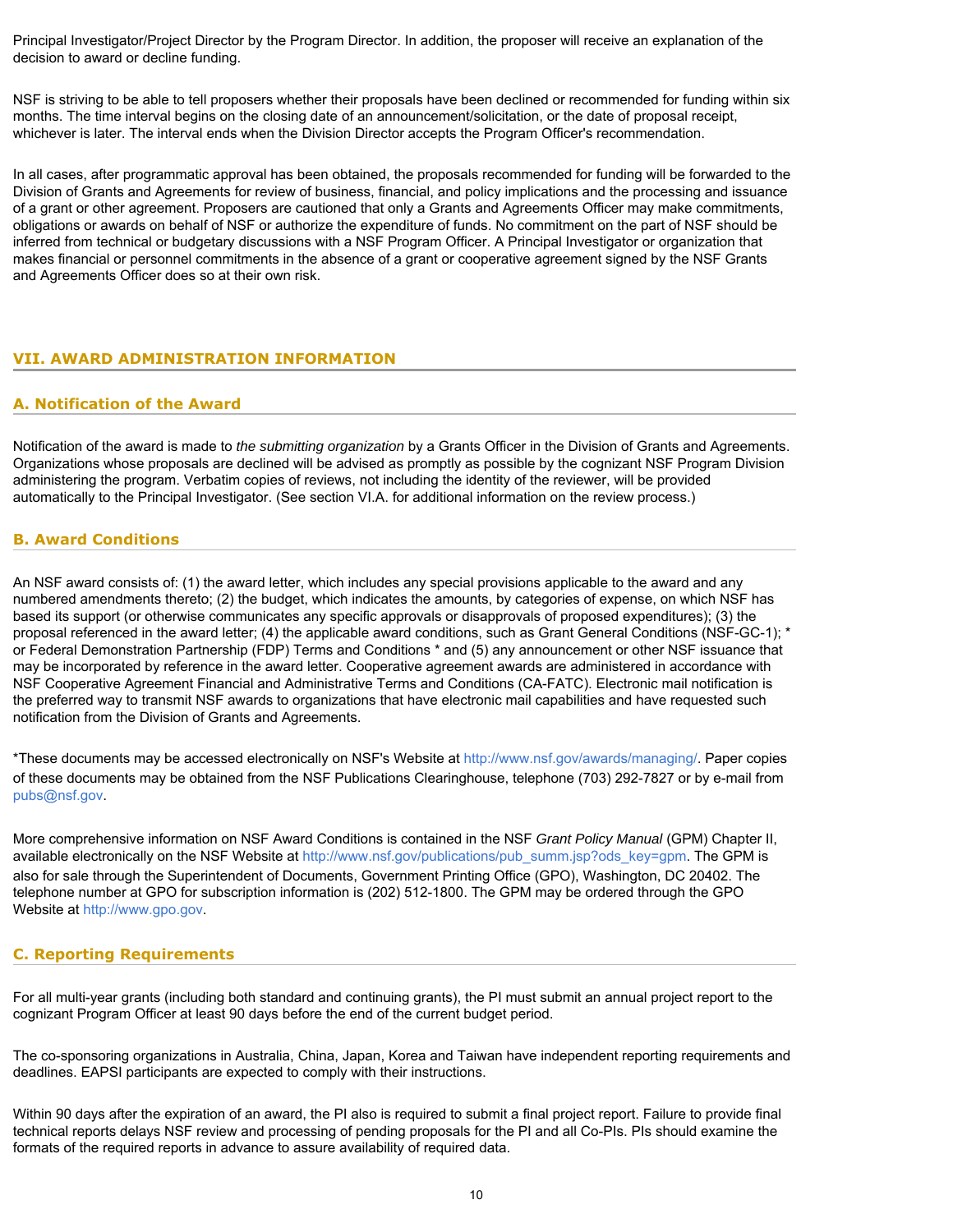Principal Investigator/Project Director by the Program Director. In addition, the proposer will receive an explanation of the decision to award or decline funding.

NSF is striving to be able to tell proposers whether their proposals have been declined or recommended for funding within six months. The time interval begins on the closing date of an announcement/solicitation, or the date of proposal receipt, whichever is later. The interval ends when the Division Director accepts the Program Officer's recommendation.

In all cases, after programmatic approval has been obtained, the proposals recommended for funding will be forwarded to the Division of Grants and Agreements for review of business, financial, and policy implications and the processing and issuance of a grant or other agreement. Proposers are cautioned that only a Grants and Agreements Officer may make commitments, obligations or awards on behalf of NSF or authorize the expenditure of funds. No commitment on the part of NSF should be inferred from technical or budgetary discussions with a NSF Program Officer. A Principal Investigator or organization that makes financial or personnel commitments in the absence of a grant or cooperative agreement signed by the NSF Grants and Agreements Officer does so at their own risk.

# <span id="page-9-1"></span><span id="page-9-0"></span>**VII. AWARD ADMINISTRATION INFORMATION**

### **A. Notification of the Award**

Notification of the award is made to *the submitting organization* by a Grants Officer in the Division of Grants and Agreements. Organizations whose proposals are declined will be advised as promptly as possible by the cognizant NSF Program Division administering the program. Verbatim copies of reviews, not including the identity of the reviewer, will be provided automatically to the Principal Investigator. (See section VI.A. for additional information on the review process.)

### <span id="page-9-2"></span>**B. Award Conditions**

An NSF award consists of: (1) the award letter, which includes any special provisions applicable to the award and any numbered amendments thereto; (2) the budget, which indicates the amounts, by categories of expense, on which NSF has based its support (or otherwise communicates any specific approvals or disapprovals of proposed expenditures); (3) the proposal referenced in the award letter; (4) the applicable award conditions, such as Grant General Conditions (NSF-GC-1); \* or Federal Demonstration Partnership (FDP) Terms and Conditions \* and (5) any announcement or other NSF issuance that may be incorporated by reference in the award letter. Cooperative agreement awards are administered in accordance with NSF Cooperative Agreement Financial and Administrative Terms and Conditions (CA-FATC). Electronic mail notification is the preferred way to transmit NSF awards to organizations that have electronic mail capabilities and have requested such notification from the Division of Grants and Agreements.

\*These documents may be accessed electronically on NSF's Website at<http://www.nsf.gov/awards/managing/>. Paper copies of these documents may be obtained from the NSF Publications Clearinghouse, telephone (703) 292-7827 or by e-mail from [pubs@nsf.gov](mailto:pubs@nsf.gov).

More comprehensive information on NSF Award Conditions is contained in the NSF *Grant Policy Manual* (GPM) Chapter II, available electronically on the NSF Website at [http://www.nsf.gov/publications/pub\\_summ.jsp?ods\\_key=gpm](http://www.nsf.gov/publications/pub_summ.jsp?ods_key=gpm). The GPM is also for sale through the Superintendent of Documents, Government Printing Office (GPO), Washington, DC 20402. The telephone number at GPO for subscription information is (202) 512-1800. The GPM may be ordered through the GPO Website at [http://www.gpo.gov](http://www.gpo.gov/).

# <span id="page-9-3"></span>**C. Reporting Requirements**

For all multi-year grants (including both standard and continuing grants), the PI must submit an annual project report to the cognizant Program Officer at least 90 days before the end of the current budget period.

The co-sponsoring organizations in Australia, China, Japan, Korea and Taiwan have independent reporting requirements and deadlines. EAPSI participants are expected to comply with their instructions.

Within 90 days after the expiration of an award, the PI also is required to submit a final project report. Failure to provide final technical reports delays NSF review and processing of pending proposals for the PI and all Co-PIs. PIs should examine the formats of the required reports in advance to assure availability of required data.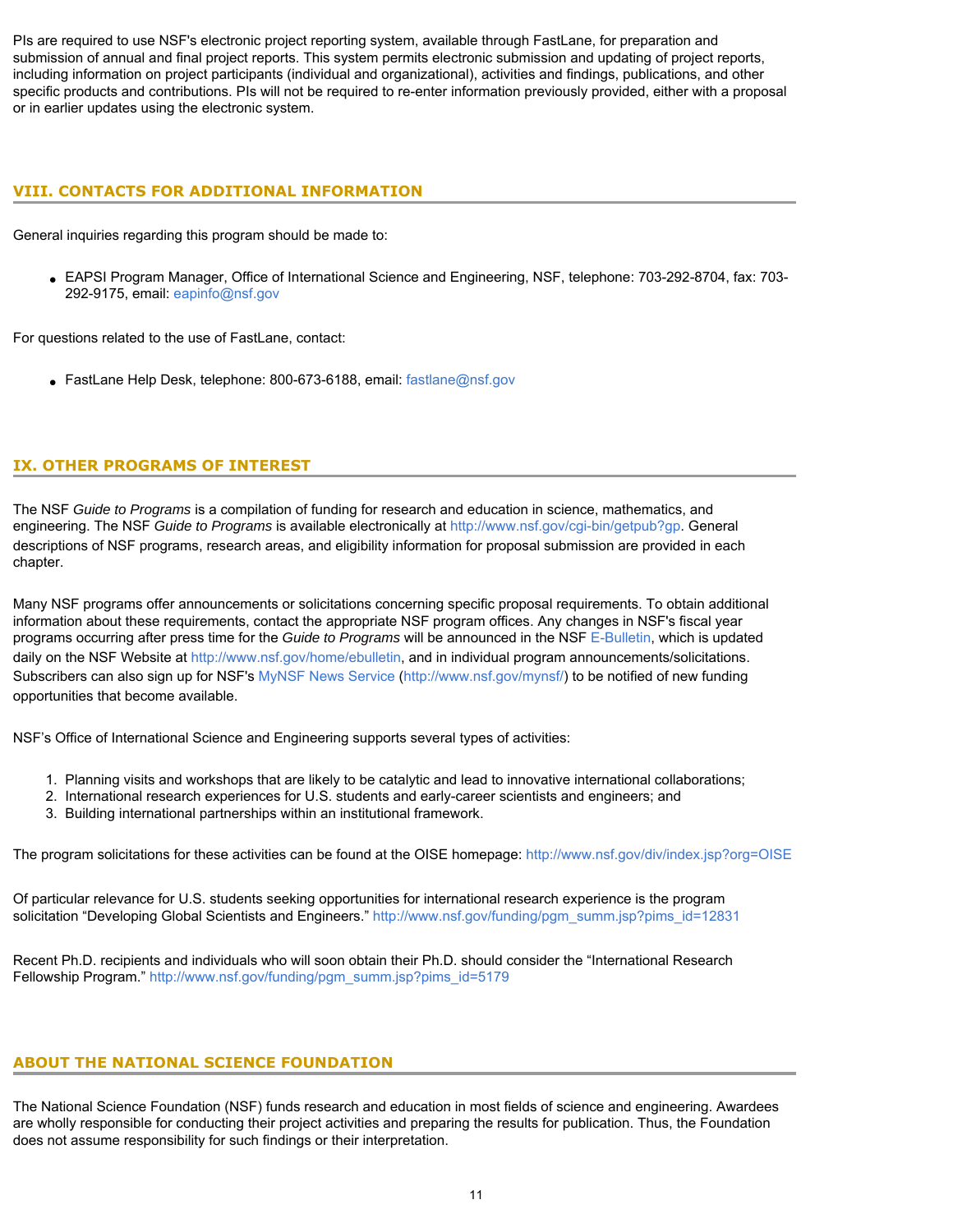PIs are required to use NSF's electronic project reporting system, available through FastLane, for preparation and submission of annual and final project reports. This system permits electronic submission and updating of project reports, including information on project participants (individual and organizational), activities and findings, publications, and other specific products and contributions. PIs will not be required to re-enter information previously provided, either with a proposal or in earlier updates using the electronic system.

# <span id="page-10-0"></span>**VIII. CONTACTS FOR ADDITIONAL INFORMATION**

General inquiries regarding this program should be made to:

● EAPSI Program Manager, Office of International Science and Engineering, NSF, telephone: 703-292-8704, fax: 703- 292-9175, email: [eapinfo@nsf.gov](mailto:eapinfo@nsf.gov)

For questions related to the use of FastLane, contact:

• FastLane Help Desk, telephone: 800-673-6188, email: [fastlane@nsf.gov](mailto:fastlane@nsf.gov)

# <span id="page-10-1"></span>**IX. OTHER PROGRAMS OF INTEREST**

The NSF *Guide to Programs* is a compilation of funding for research and education in science, mathematics, and engineering. The NSF *Guide to Programs* is available electronically at<http://www.nsf.gov/cgi-bin/getpub?gp>. General descriptions of NSF programs, research areas, and eligibility information for proposal submission are provided in each chapter.

Many NSF programs offer announcements or solicitations concerning specific proposal requirements. To obtain additional information about these requirements, contact the appropriate NSF program offices. Any changes in NSF's fiscal year programs occurring after press time for the *Guide to Programs* will be announced in the NSF [E-Bulletin](http://www.nsf.gov/home/ebulletin), which is updated daily on the NSF Website at [http://www.nsf.gov/home/ebulletin,](http://www.nsf.gov/home/ebulletin) and in individual program announcements/solicitations. Subscribers can also sign up for NSF's [MyNSF News Service \(http://www.nsf.gov/mynsf/](http://www.nsf.gov/mynsf/)) to be notified of new funding opportunities that become available.

NSF's Office of International Science and Engineering supports several types of activities:

- 1. Planning visits and workshops that are likely to be catalytic and lead to innovative international collaborations;
- 2. International research experiences for U.S. students and early-career scientists and engineers; and
- 3. Building international partnerships within an institutional framework.

The program solicitations for these activities can be found at the OISE homepage:<http://www.nsf.gov/div/index.jsp?org=OISE>

Of particular relevance for U.S. students seeking opportunities for international research experience is the program solicitation "Developing Global Scientists and Engineers." [http://www.nsf.gov/funding/pgm\\_summ.jsp?pims\\_id=12831](http://www.nsf.gov/funding/pgm_summ.jsp?pims_id=12831)

Recent Ph.D. recipients and individuals who will soon obtain their Ph.D. should consider the "International Research Fellowship Program." [http://www.nsf.gov/funding/pgm\\_summ.jsp?pims\\_id=5179](http://www.nsf.gov/funding/pgm_summ.jsp?pims_id=5179)

# **ABOUT THE NATIONAL SCIENCE FOUNDATION**

The National Science Foundation (NSF) funds research and education in most fields of science and engineering. Awardees are wholly responsible for conducting their project activities and preparing the results for publication. Thus, the Foundation does not assume responsibility for such findings or their interpretation.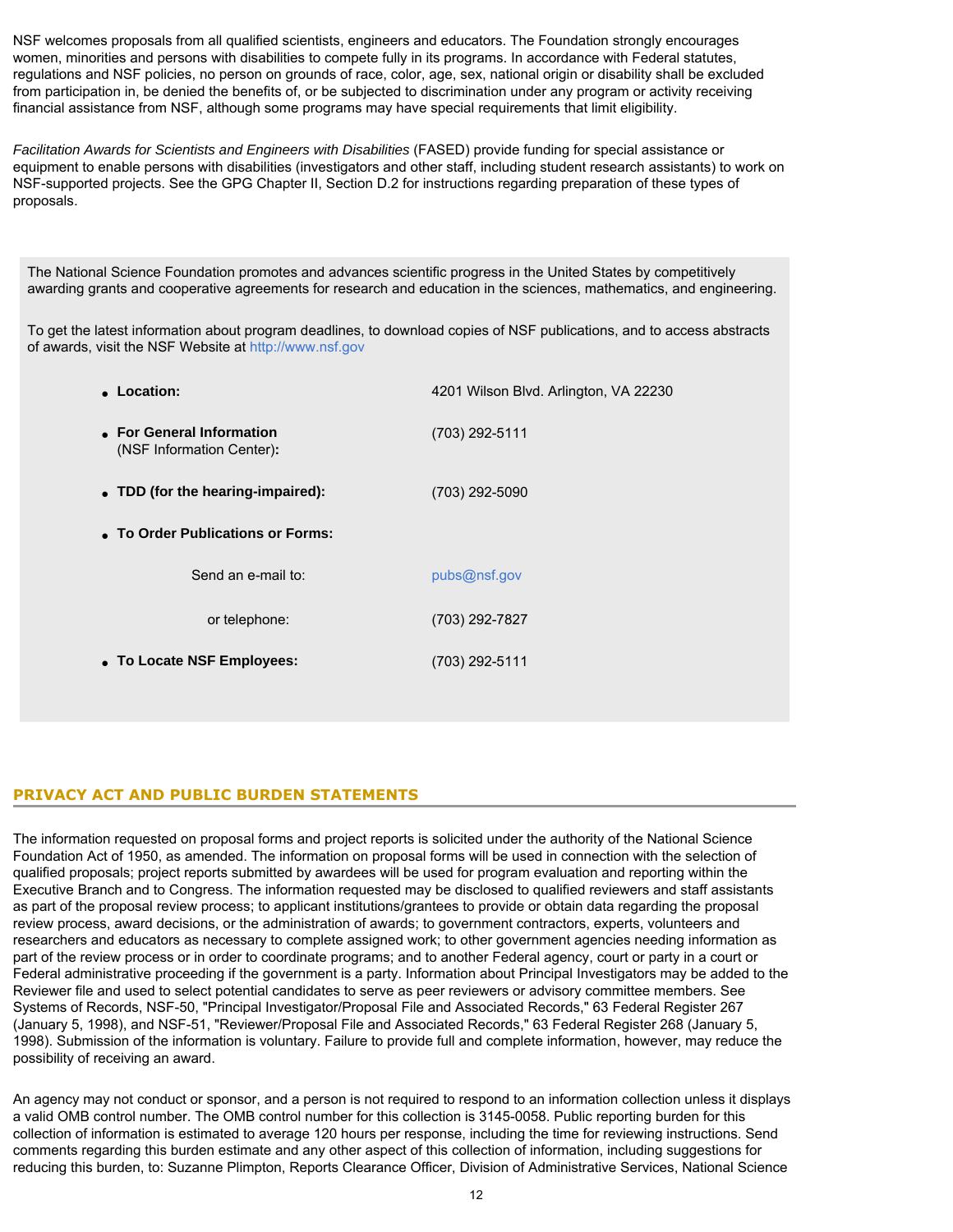NSF welcomes proposals from all qualified scientists, engineers and educators. The Foundation strongly encourages women, minorities and persons with disabilities to compete fully in its programs. In accordance with Federal statutes, regulations and NSF policies, no person on grounds of race, color, age, sex, national origin or disability shall be excluded from participation in, be denied the benefits of, or be subjected to discrimination under any program or activity receiving financial assistance from NSF, although some programs may have special requirements that limit eligibility.

*Facilitation Awards for Scientists and Engineers with Disabilities* (FASED) provide funding for special assistance or equipment to enable persons with disabilities (investigators and other staff, including student research assistants) to work on NSF-supported projects. See the GPG Chapter II, Section D.2 for instructions regarding preparation of these types of proposals.

The National Science Foundation promotes and advances scientific progress in the United States by competitively awarding grants and cooperative agreements for research and education in the sciences, mathematics, and engineering.

To get the latest information about program deadlines, to download copies of NSF publications, and to access abstracts of awards, visit the NSF Website at [http://www.nsf.gov](http://www.nsf.gov/)

| • Location:                                            | 4201 Wilson Blvd. Arlington, VA 22230 |  |  |  |  |  |  |
|--------------------------------------------------------|---------------------------------------|--|--|--|--|--|--|
| • For General Information<br>(NSF Information Center): | (703) 292-5111                        |  |  |  |  |  |  |
| • TDD (for the hearing-impaired):                      | (703) 292-5090                        |  |  |  |  |  |  |
| • To Order Publications or Forms:                      |                                       |  |  |  |  |  |  |
| Send an e-mail to:                                     | pubs@nsf.gov                          |  |  |  |  |  |  |
| or telephone:                                          | (703) 292-7827                        |  |  |  |  |  |  |
| • To Locate NSF Employees:                             | (703) 292-5111                        |  |  |  |  |  |  |

# **PRIVACY ACT AND PUBLIC BURDEN STATEMENTS**

The information requested on proposal forms and project reports is solicited under the authority of the National Science Foundation Act of 1950, as amended. The information on proposal forms will be used in connection with the selection of qualified proposals; project reports submitted by awardees will be used for program evaluation and reporting within the Executive Branch and to Congress. The information requested may be disclosed to qualified reviewers and staff assistants as part of the proposal review process; to applicant institutions/grantees to provide or obtain data regarding the proposal review process, award decisions, or the administration of awards; to government contractors, experts, volunteers and researchers and educators as necessary to complete assigned work; to other government agencies needing information as part of the review process or in order to coordinate programs; and to another Federal agency, court or party in a court or Federal administrative proceeding if the government is a party. Information about Principal Investigators may be added to the Reviewer file and used to select potential candidates to serve as peer reviewers or advisory committee members. See Systems of Records, NSF-50, "Principal Investigator/Proposal File and Associated Records," 63 Federal Register 267 (January 5, 1998), and NSF-51, "Reviewer/Proposal File and Associated Records," 63 Federal Register 268 (January 5, 1998). Submission of the information is voluntary. Failure to provide full and complete information, however, may reduce the possibility of receiving an award.

An agency may not conduct or sponsor, and a person is not required to respond to an information collection unless it displays a valid OMB control number. The OMB control number for this collection is 3145-0058. Public reporting burden for this collection of information is estimated to average 120 hours per response, including the time for reviewing instructions. Send comments regarding this burden estimate and any other aspect of this collection of information, including suggestions for reducing this burden, to: Suzanne Plimpton, Reports Clearance Officer, Division of Administrative Services, National Science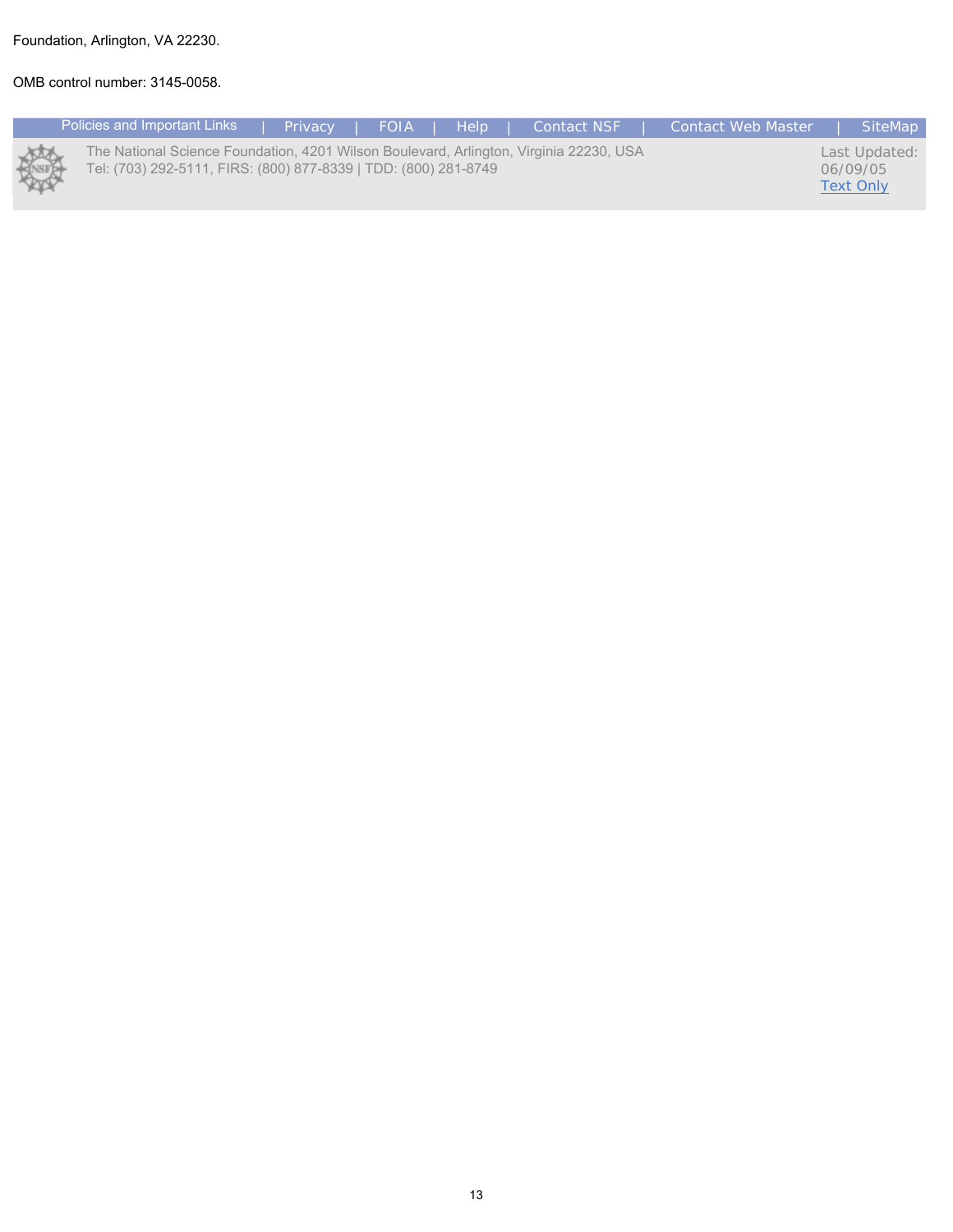# Foundation, Arlington, VA 22230.

# OMB control number: 3145-0058.

|   | Policies and Important Links                                                                                                                              | <b>Privacy</b> | FOIA | <b>THE Helperson</b> | <b>Contact NSF</b> | Contact Web Master | SiteMap                                       |
|---|-----------------------------------------------------------------------------------------------------------------------------------------------------------|----------------|------|----------------------|--------------------|--------------------|-----------------------------------------------|
| @ | The National Science Foundation, 4201 Wilson Boulevard, Arlington, Virginia 22230, USA<br>Tel: (703) 292-5111, FIRS: (800) 877-8339   TDD: (800) 281-8749 |                |      |                      |                    |                    | Last Updated:<br>06/09/05<br><b>Text Only</b> |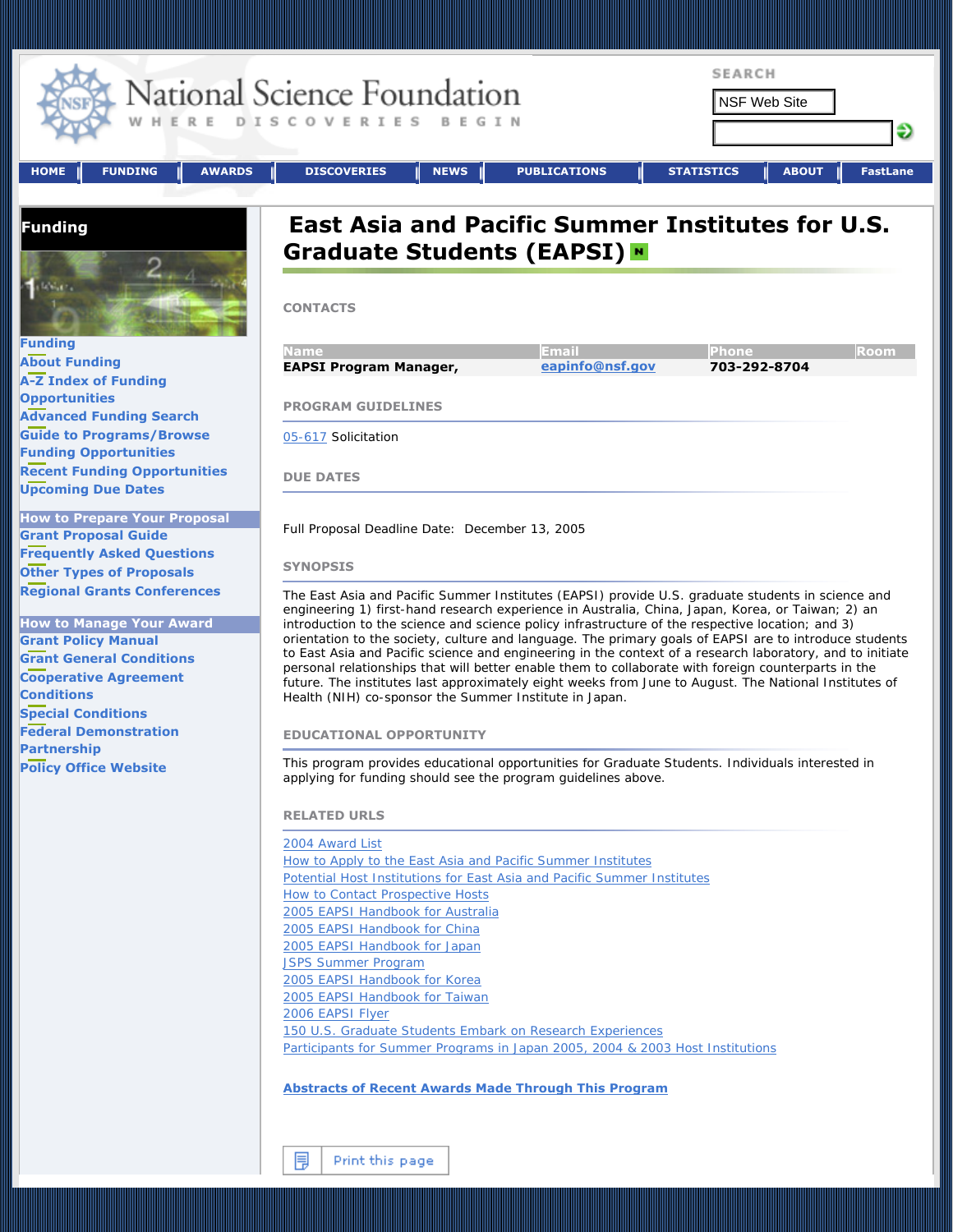<span id="page-13-0"></span>

| <b>FUNDING</b><br><b>AWARDS</b><br><b>HOME</b>                                                                                                                                                                                                                                                                                                                                                                                                                                                                                                                                                                                                                                                                                                        | <b>SEARCH</b><br>National Science Foundation<br><b>NSF Web Site</b><br>OVERIES<br>BEGIN<br>€<br><b>DISCOVERIES</b><br><b>NEWS</b><br><b>PUBLICATIONS</b><br><b>STATISTICS</b><br><b>ABOUT</b><br><b>FastLane</b>                                                                                                                                                                                                                                                                                                                                                                                                                                                                                                                                                                                                                                                                                                                                                                                                                                                                                                                                                                                                                                                                                                                                                                                                                                                                                                                                                                                                                                                                                                                                                                                                                                                                                                                                                                                                                                                         |
|-------------------------------------------------------------------------------------------------------------------------------------------------------------------------------------------------------------------------------------------------------------------------------------------------------------------------------------------------------------------------------------------------------------------------------------------------------------------------------------------------------------------------------------------------------------------------------------------------------------------------------------------------------------------------------------------------------------------------------------------------------|--------------------------------------------------------------------------------------------------------------------------------------------------------------------------------------------------------------------------------------------------------------------------------------------------------------------------------------------------------------------------------------------------------------------------------------------------------------------------------------------------------------------------------------------------------------------------------------------------------------------------------------------------------------------------------------------------------------------------------------------------------------------------------------------------------------------------------------------------------------------------------------------------------------------------------------------------------------------------------------------------------------------------------------------------------------------------------------------------------------------------------------------------------------------------------------------------------------------------------------------------------------------------------------------------------------------------------------------------------------------------------------------------------------------------------------------------------------------------------------------------------------------------------------------------------------------------------------------------------------------------------------------------------------------------------------------------------------------------------------------------------------------------------------------------------------------------------------------------------------------------------------------------------------------------------------------------------------------------------------------------------------------------------------------------------------------------|
|                                                                                                                                                                                                                                                                                                                                                                                                                                                                                                                                                                                                                                                                                                                                                       |                                                                                                                                                                                                                                                                                                                                                                                                                                                                                                                                                                                                                                                                                                                                                                                                                                                                                                                                                                                                                                                                                                                                                                                                                                                                                                                                                                                                                                                                                                                                                                                                                                                                                                                                                                                                                                                                                                                                                                                                                                                                          |
| Funding<br>$2 - \epsilon$<br>Funding<br><b>About Funding</b><br><b>A-Z Index of Funding</b><br><b>Opportunities</b><br><b>Advanced Funding Search</b><br><b>Guide to Programs/Browse</b><br><b>Funding Opportunities</b><br><b>Recent Funding Opportunities</b><br><b>Upcoming Due Dates</b><br><b>How to Prepare Your Proposal</b><br><b>Grant Proposal Guide</b><br><b>Frequently Asked Questions</b><br><b>Other Types of Proposals</b><br><b>Regional Grants Conferences</b><br><b>How to Manage Your Award</b><br><b>Grant Policy Manual</b><br><b>Grant General Conditions</b><br><b>Cooperative Agreement</b><br><b>Conditions</b><br><b>Special Conditions</b><br><b>Federal Demonstration</b><br>Partnership<br><b>Policy Office Website</b> | <b>East Asia and Pacific Summer Institutes for U.S.</b><br>Graduate Students (EAPSI) "<br><b>CONTACTS</b><br><b>Name</b><br>Email<br><b>Phone</b><br>Room<br>eapinfo@nsf.gov<br>703-292-8704<br><b>EAPSI Program Manager,</b><br><b>PROGRAM GUIDELINES</b><br>05-617 Solicitation<br><b>DUE DATES</b><br>Full Proposal Deadline Date: December 13, 2005<br><b>SYNOPSIS</b><br>The East Asia and Pacific Summer Institutes (EAPSI) provide U.S. graduate students in science and<br>engineering 1) first-hand research experience in Australia, China, Japan, Korea, or Taiwan; 2) an<br>introduction to the science and science policy infrastructure of the respective location; and 3)<br>orientation to the society, culture and language. The primary goals of EAPSI are to introduce students<br>to East Asia and Pacific science and engineering in the context of a research laboratory, and to initiate<br>personal relationships that will better enable them to collaborate with foreign counterparts in the<br>future. The institutes last approximately eight weeks from June to August. The National Institutes of<br>Health (NIH) co-sponsor the Summer Institute in Japan.<br><b>EDUCATIONAL OPPORTUNITY</b><br>This program provides educational opportunities for Graduate Students. Individuals interested in<br>applying for funding should see the program guidelines above.<br><b>RELATED URLS</b><br>2004 Award List<br>How to Apply to the East Asia and Pacific Summer Institutes<br>Potential Host Institutions for East Asia and Pacific Summer Institutes<br><b>How to Contact Prospective Hosts</b><br>2005 EAPSI Handbook for Australia<br>2005 EAPSI Handbook for China<br>2005 EAPSI Handbook for Japan<br><b>JSPS Summer Program</b><br>2005 EAPSI Handbook for Korea<br>2005 EAPSI Handbook for Taiwan<br>2006 EAPSI Flyer<br>150 U.S. Graduate Students Embark on Research Experiences<br>Participants for Summer Programs in Japan 2005, 2004 & 2003 Host Institutions<br><b>Abstracts of Recent Awards Made Through This Program</b> |
|                                                                                                                                                                                                                                                                                                                                                                                                                                                                                                                                                                                                                                                                                                                                                       |                                                                                                                                                                                                                                                                                                                                                                                                                                                                                                                                                                                                                                                                                                                                                                                                                                                                                                                                                                                                                                                                                                                                                                                                                                                                                                                                                                                                                                                                                                                                                                                                                                                                                                                                                                                                                                                                                                                                                                                                                                                                          |

围 Print this page